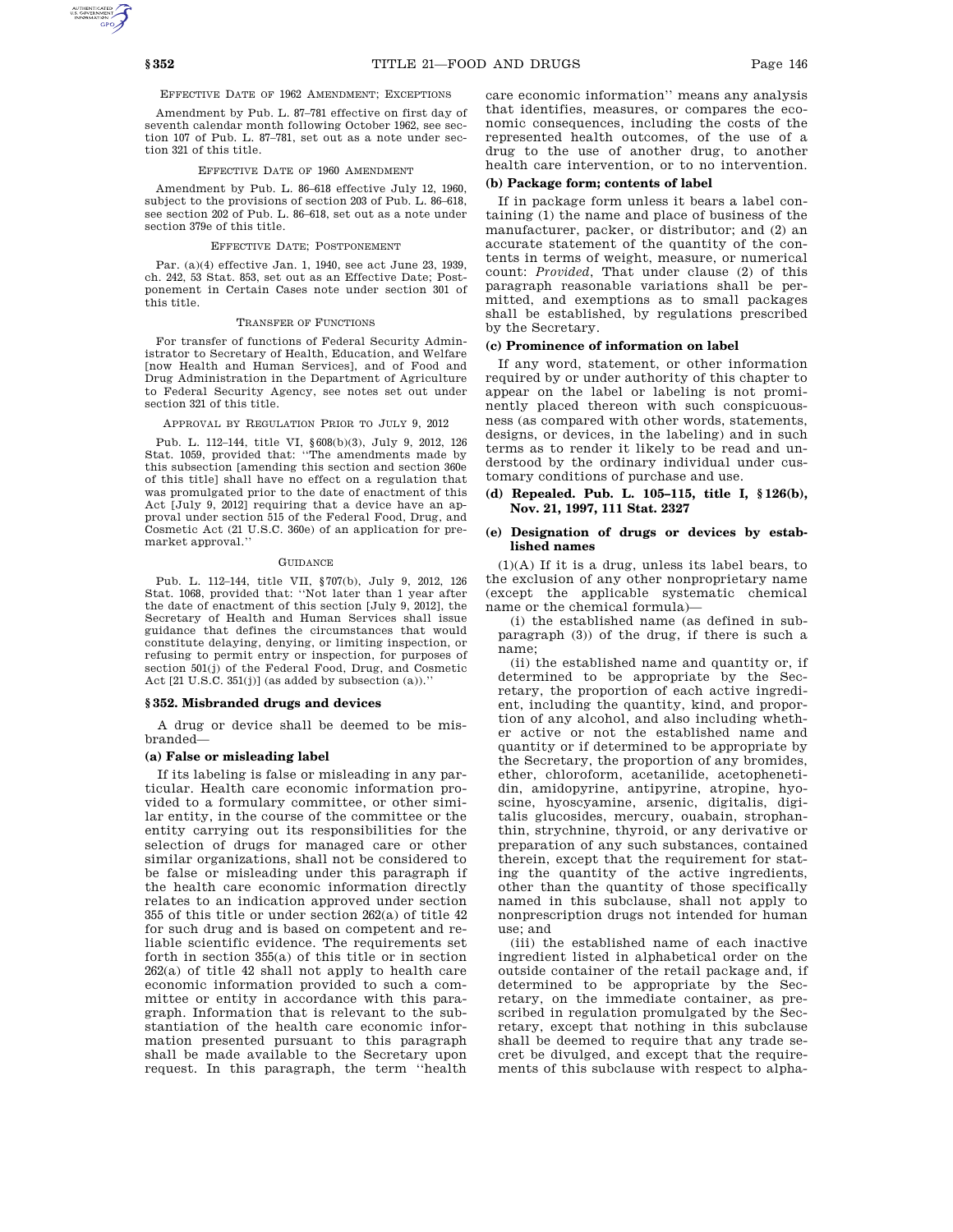EFFECTIVE DATE OF 1962 AMENDMENT; EXCEPTIONS

Amendment by Pub. L. 87–781 effective on first day of seventh calendar month following October 1962, see section 107 of Pub. L. 87–781, set out as a note under section 321 of this title.

### EFFECTIVE DATE OF 1960 AMENDMENT

Amendment by Pub. L. 86–618 effective July 12, 1960, subject to the provisions of section 203 of Pub. L. 86–618, see section 202 of Pub. L. 86–618, set out as a note under section 379e of this title.

### EFFECTIVE DATE; POSTPONEMENT

Par. (a)(4) effective Jan. 1, 1940, see act June 23, 1939, ch. 242, 53 Stat. 853, set out as an Effective Date; Postponement in Certain Cases note under section 301 of this title.

### TRANSFER OF FUNCTIONS

For transfer of functions of Federal Security Administrator to Secretary of Health, Education, and Welfare [now Health and Human Services], and of Food and Drug Administration in the Department of Agriculture to Federal Security Agency, see notes set out under section 321 of this title.

### APPROVAL BY REGULATION PRIOR TO JULY 9, 2012

Pub. L. 112–144, title VI, §608(b)(3), July 9, 2012, 126 Stat. 1059, provided that: ''The amendments made by this subsection [amending this section and section 360e of this title] shall have no effect on a regulation that was promulgated prior to the date of enactment of this Act [July 9, 2012] requiring that a device have an approval under section 515 of the Federal Food, Drug, and Cosmetic Act (21 U.S.C. 360e) of an application for premarket approval.''

### **GUIDANCE**

Pub. L. 112–144, title VII, §707(b), July 9, 2012, 126 Stat. 1068, provided that: ''Not later than 1 year after the date of enactment of this section [July 9, 2012], the Secretary of Health and Human Services shall issue guidance that defines the circumstances that would constitute delaying, denying, or limiting inspection, or refusing to permit entry or inspection, for purposes of section 501(j) of the Federal Food, Drug, and Cosmetic Act [21 U.S.C. 351(j)] (as added by subsection (a)).''

#### **§ 352. Misbranded drugs and devices**

A drug or device shall be deemed to be misbranded—

### **(a) False or misleading label**

If its labeling is false or misleading in any particular. Health care economic information provided to a formulary committee, or other similar entity, in the course of the committee or the entity carrying out its responsibilities for the selection of drugs for managed care or other similar organizations, shall not be considered to be false or misleading under this paragraph if the health care economic information directly relates to an indication approved under section 355 of this title or under section 262(a) of title 42 for such drug and is based on competent and reliable scientific evidence. The requirements set forth in section 355(a) of this title or in section 262(a) of title 42 shall not apply to health care economic information provided to such a committee or entity in accordance with this paragraph. Information that is relevant to the substantiation of the health care economic information presented pursuant to this paragraph shall be made available to the Secretary upon request. In this paragraph, the term ''health

care economic information'' means any analysis that identifies, measures, or compares the economic consequences, including the costs of the represented health outcomes, of the use of a drug to the use of another drug, to another health care intervention, or to no intervention.

# **(b) Package form; contents of label**

If in package form unless it bears a label containing (1) the name and place of business of the manufacturer, packer, or distributor; and (2) an accurate statement of the quantity of the contents in terms of weight, measure, or numerical count: *Provided*, That under clause (2) of this paragraph reasonable variations shall be permitted, and exemptions as to small packages shall be established, by regulations prescribed by the Secretary.

# **(c) Prominence of information on label**

If any word, statement, or other information required by or under authority of this chapter to appear on the label or labeling is not prominently placed thereon with such conspicuousness (as compared with other words, statements, designs, or devices, in the labeling) and in such terms as to render it likely to be read and understood by the ordinary individual under customary conditions of purchase and use.

# **(d) Repealed. Pub. L. 105–115, title I, § 126(b), Nov. 21, 1997, 111 Stat. 2327**

### **(e) Designation of drugs or devices by established names**

(1)(A) If it is a drug, unless its label bears, to the exclusion of any other nonproprietary name (except the applicable systematic chemical name or the chemical formula)—

(i) the established name (as defined in subparagraph (3)) of the drug, if there is such a name;

(ii) the established name and quantity or, if determined to be appropriate by the Secretary, the proportion of each active ingredient, including the quantity, kind, and proportion of any alcohol, and also including whether active or not the established name and quantity or if determined to be appropriate by the Secretary, the proportion of any bromides, ether, chloroform, acetanilide, acetophenetidin, amidopyrine, antipyrine, atropine, hyoscine, hyoscyamine, arsenic, digitalis, digitalis glucosides, mercury, ouabain, strophanthin, strychnine, thyroid, or any derivative or preparation of any such substances, contained therein, except that the requirement for stating the quantity of the active ingredients, other than the quantity of those specifically named in this subclause, shall not apply to nonprescription drugs not intended for human use; and

(iii) the established name of each inactive ingredient listed in alphabetical order on the outside container of the retail package and, if determined to be appropriate by the Secretary, on the immediate container, as prescribed in regulation promulgated by the Secretary, except that nothing in this subclause shall be deemed to require that any trade secret be divulged, and except that the requirements of this subclause with respect to alpha-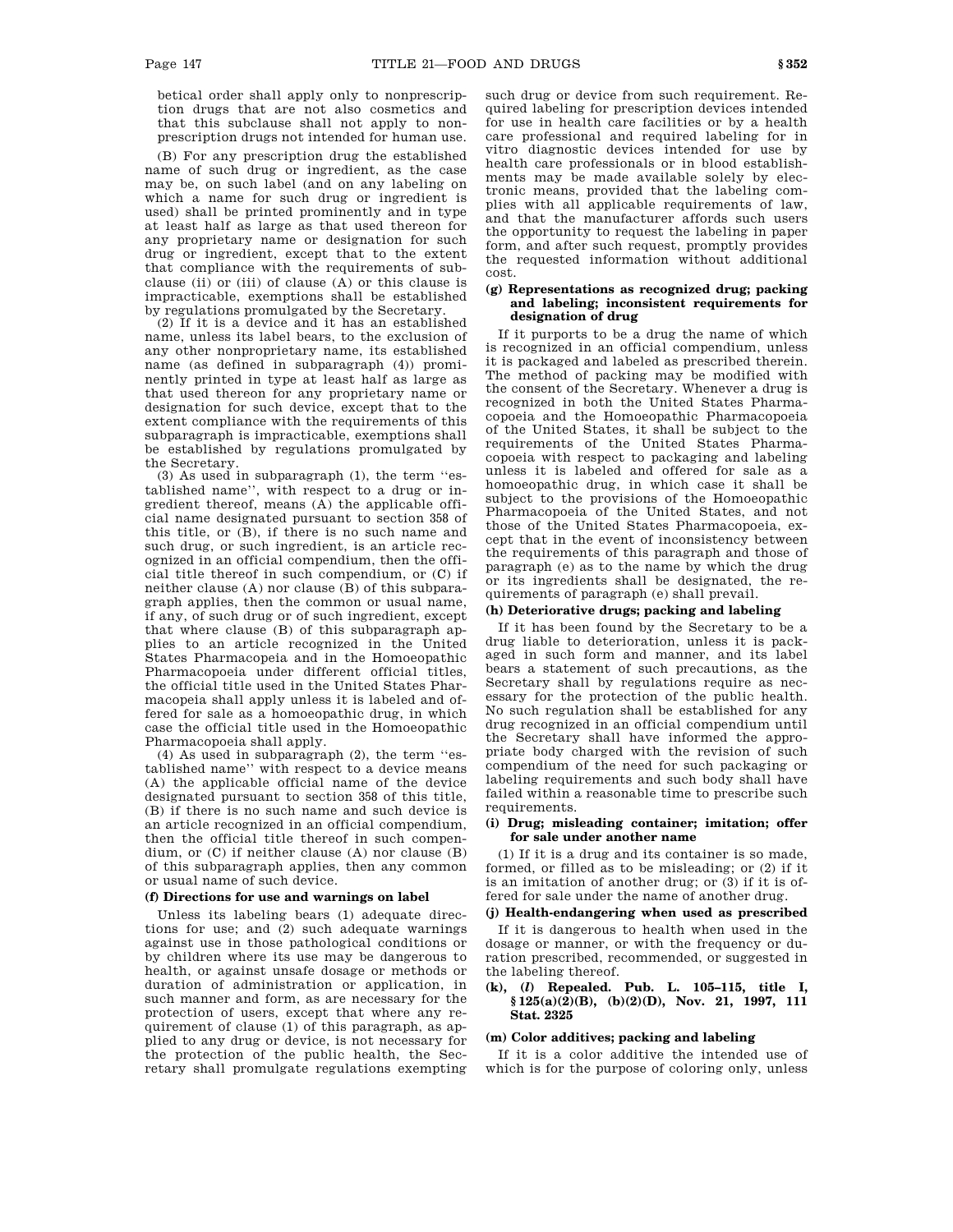betical order shall apply only to nonprescription drugs that are not also cosmetics and that this subclause shall not apply to nonprescription drugs not intended for human use.

(B) For any prescription drug the established name of such drug or ingredient, as the case may be, on such label (and on any labeling on which a name for such drug or ingredient is used) shall be printed prominently and in type at least half as large as that used thereon for any proprietary name or designation for such drug or ingredient, except that to the extent that compliance with the requirements of subclause (ii) or (iii) of clause (A) or this clause is impracticable, exemptions shall be established by regulations promulgated by the Secretary.

(2) If it is a device and it has an established name, unless its label bears, to the exclusion of any other nonproprietary name, its established name (as defined in subparagraph (4)) prominently printed in type at least half as large as that used thereon for any proprietary name or designation for such device, except that to the extent compliance with the requirements of this subparagraph is impracticable, exemptions shall be established by regulations promulgated by the Secretary.

(3) As used in subparagraph (1), the term ''established name'', with respect to a drug or ingredient thereof, means (A) the applicable official name designated pursuant to section 358 of this title, or (B), if there is no such name and such drug, or such ingredient, is an article recognized in an official compendium, then the official title thereof in such compendium, or (C) if neither clause (A) nor clause (B) of this subparagraph applies, then the common or usual name, if any, of such drug or of such ingredient, except that where clause (B) of this subparagraph applies to an article recognized in the United States Pharmacopeia and in the Homoeopathic Pharmacopoeia under different official titles, the official title used in the United States Pharmacopeia shall apply unless it is labeled and offered for sale as a homoeopathic drug, in which case the official title used in the Homoeopathic Pharmacopoeia shall apply.

(4) As used in subparagraph (2), the term ''established name'' with respect to a device means (A) the applicable official name of the device designated pursuant to section 358 of this title, (B) if there is no such name and such device is an article recognized in an official compendium, then the official title thereof in such compendium, or (C) if neither clause (A) nor clause (B) of this subparagraph applies, then any common or usual name of such device.

# **(f) Directions for use and warnings on label**

Unless its labeling bears (1) adequate directions for use; and (2) such adequate warnings against use in those pathological conditions or by children where its use may be dangerous to health, or against unsafe dosage or methods or duration of administration or application, in such manner and form, as are necessary for the protection of users, except that where any requirement of clause (1) of this paragraph, as applied to any drug or device, is not necessary for the protection of the public health, the Secretary shall promulgate regulations exempting such drug or device from such requirement. Required labeling for prescription devices intended for use in health care facilities or by a health care professional and required labeling for in vitro diagnostic devices intended for use by health care professionals or in blood establishments may be made available solely by electronic means, provided that the labeling complies with all applicable requirements of law, and that the manufacturer affords such users the opportunity to request the labeling in paper form, and after such request, promptly provides the requested information without additional cost.

### **(g) Representations as recognized drug; packing and labeling; inconsistent requirements for designation of drug**

If it purports to be a drug the name of which is recognized in an official compendium, unless it is packaged and labeled as prescribed therein. The method of packing may be modified with the consent of the Secretary. Whenever a drug is recognized in both the United States Pharmacopoeia and the Homoeopathic Pharmacopoeia of the United States, it shall be subject to the requirements of the United States Pharmacopoeia with respect to packaging and labeling unless it is labeled and offered for sale as a homoeopathic drug, in which case it shall be subject to the provisions of the Homoeopathic Pharmacopoeia of the United States, and not those of the United States Pharmacopoeia, except that in the event of inconsistency between the requirements of this paragraph and those of paragraph (e) as to the name by which the drug or its ingredients shall be designated, the requirements of paragraph (e) shall prevail.

## **(h) Deteriorative drugs; packing and labeling**

If it has been found by the Secretary to be a drug liable to deterioration, unless it is packaged in such form and manner, and its label bears a statement of such precautions, as the Secretary shall by regulations require as necessary for the protection of the public health. No such regulation shall be established for any drug recognized in an official compendium until the Secretary shall have informed the appropriate body charged with the revision of such compendium of the need for such packaging or labeling requirements and such body shall have failed within a reasonable time to prescribe such requirements.

### **(i) Drug; misleading container; imitation; offer for sale under another name**

(1) If it is a drug and its container is so made, formed, or filled as to be misleading; or (2) if it is an imitation of another drug; or (3) if it is offered for sale under the name of another drug.

# **(j) Health-endangering when used as prescribed**

If it is dangerous to health when used in the dosage or manner, or with the frequency or duration prescribed, recommended, or suggested in the labeling thereof.

# **(k), (***l***) Repealed. Pub. L. 105–115, title I, § 125(a)(2)(B), (b)(2)(D), Nov. 21, 1997, 111 Stat. 2325**

### **(m) Color additives; packing and labeling**

If it is a color additive the intended use of which is for the purpose of coloring only, unless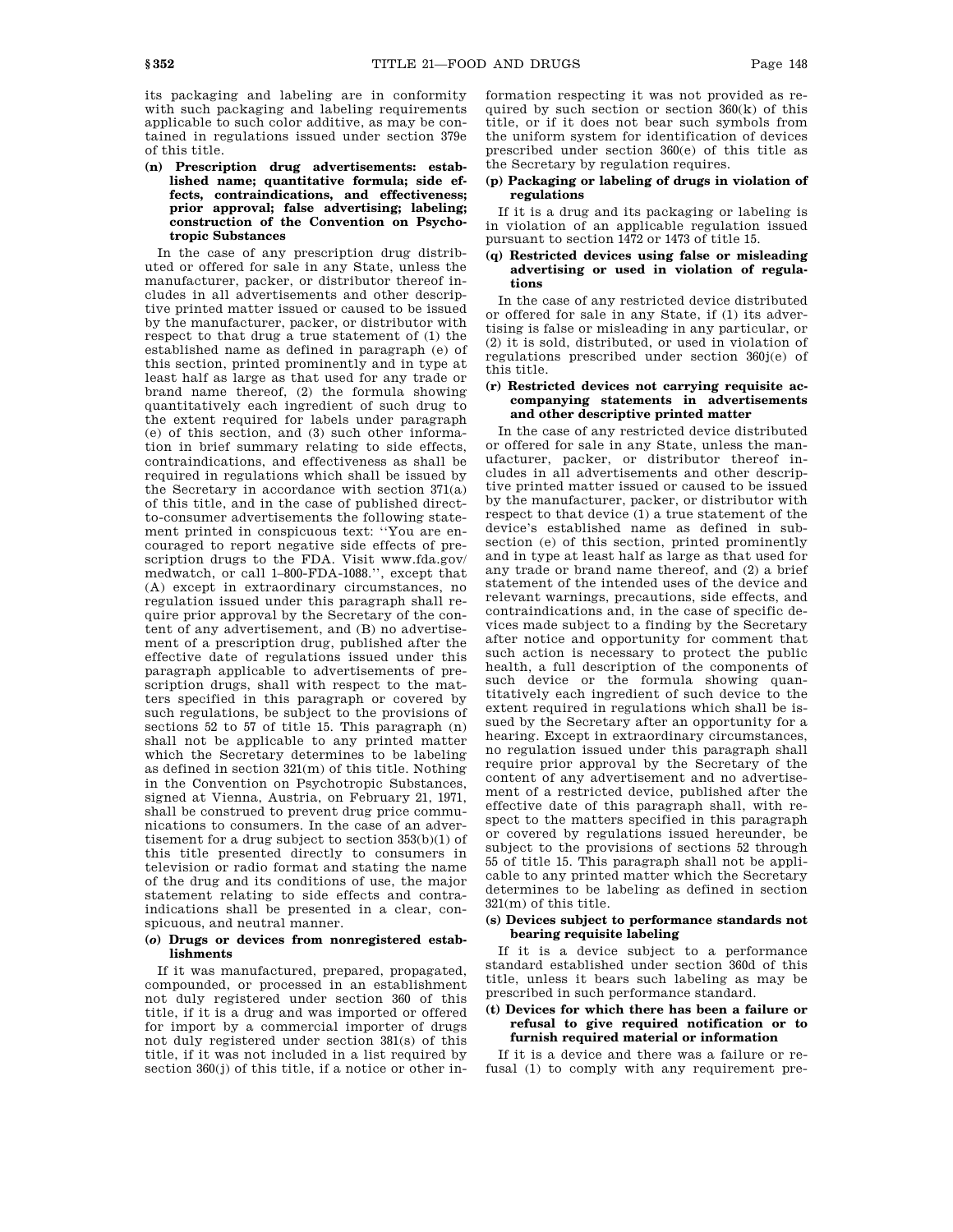its packaging and labeling are in conformity with such packaging and labeling requirements applicable to such color additive, as may be contained in regulations issued under section 379e of this title.

# **(n) Prescription drug advertisements: established name; quantitative formula; side effects, contraindications, and effectiveness; prior approval; false advertising; labeling; construction of the Convention on Psychotropic Substances**

In the case of any prescription drug distributed or offered for sale in any State, unless the manufacturer, packer, or distributor thereof includes in all advertisements and other descriptive printed matter issued or caused to be issued by the manufacturer, packer, or distributor with respect to that drug a true statement of (1) the established name as defined in paragraph (e) of this section, printed prominently and in type at least half as large as that used for any trade or brand name thereof, (2) the formula showing quantitatively each ingredient of such drug to the extent required for labels under paragraph (e) of this section, and (3) such other information in brief summary relating to side effects, contraindications, and effectiveness as shall be required in regulations which shall be issued by the Secretary in accordance with section 371(a) of this title, and in the case of published directto-consumer advertisements the following statement printed in conspicuous text: ''You are encouraged to report negative side effects of prescription drugs to the FDA. Visit www.fda.gov/ medwatch, or call 1–800-FDA-1088.'', except that (A) except in extraordinary circumstances, no regulation issued under this paragraph shall require prior approval by the Secretary of the content of any advertisement, and (B) no advertisement of a prescription drug, published after the effective date of regulations issued under this paragraph applicable to advertisements of prescription drugs, shall with respect to the matters specified in this paragraph or covered by such regulations, be subject to the provisions of sections 52 to 57 of title 15. This paragraph (n) shall not be applicable to any printed matter which the Secretary determines to be labeling as defined in section 321(m) of this title. Nothing in the Convention on Psychotropic Substances, signed at Vienna, Austria, on February 21, 1971, shall be construed to prevent drug price communications to consumers. In the case of an advertisement for a drug subject to section 353(b)(1) of this title presented directly to consumers in television or radio format and stating the name of the drug and its conditions of use, the major statement relating to side effects and contraindications shall be presented in a clear, conspicuous, and neutral manner.

# **(***o***) Drugs or devices from nonregistered establishments**

If it was manufactured, prepared, propagated, compounded, or processed in an establishment not duly registered under section 360 of this title, if it is a drug and was imported or offered for import by a commercial importer of drugs not duly registered under section 381(s) of this title, if it was not included in a list required by section 360(j) of this title, if a notice or other information respecting it was not provided as required by such section or section 360(k) of this title, or if it does not bear such symbols from the uniform system for identification of devices prescribed under section 360(e) of this title as the Secretary by regulation requires.

# **(p) Packaging or labeling of drugs in violation of regulations**

If it is a drug and its packaging or labeling is in violation of an applicable regulation issued pursuant to section 1472 or 1473 of title 15.

# **(q) Restricted devices using false or misleading advertising or used in violation of regulations**

In the case of any restricted device distributed or offered for sale in any State, if (1) its advertising is false or misleading in any particular, or (2) it is sold, distributed, or used in violation of regulations prescribed under section 360j(e) of this title.

# **(r) Restricted devices not carrying requisite accompanying statements in advertisements and other descriptive printed matter**

In the case of any restricted device distributed or offered for sale in any State, unless the manufacturer, packer, or distributor thereof includes in all advertisements and other descriptive printed matter issued or caused to be issued by the manufacturer, packer, or distributor with respect to that device (1) a true statement of the device's established name as defined in subsection (e) of this section, printed prominently and in type at least half as large as that used for any trade or brand name thereof, and (2) a brief statement of the intended uses of the device and relevant warnings, precautions, side effects, and contraindications and, in the case of specific devices made subject to a finding by the Secretary after notice and opportunity for comment that such action is necessary to protect the public health, a full description of the components of such device or the formula showing quantitatively each ingredient of such device to the extent required in regulations which shall be issued by the Secretary after an opportunity for a hearing. Except in extraordinary circumstances, no regulation issued under this paragraph shall require prior approval by the Secretary of the content of any advertisement and no advertisement of a restricted device, published after the effective date of this paragraph shall, with respect to the matters specified in this paragraph or covered by regulations issued hereunder, be subject to the provisions of sections 52 through 55 of title 15. This paragraph shall not be applicable to any printed matter which the Secretary determines to be labeling as defined in section 321(m) of this title.

# **(s) Devices subject to performance standards not bearing requisite labeling**

If it is a device subject to a performance standard established under section 360d of this title, unless it bears such labeling as may be prescribed in such performance standard.

# **(t) Devices for which there has been a failure or refusal to give required notification or to furnish required material or information**

If it is a device and there was a failure or refusal (1) to comply with any requirement pre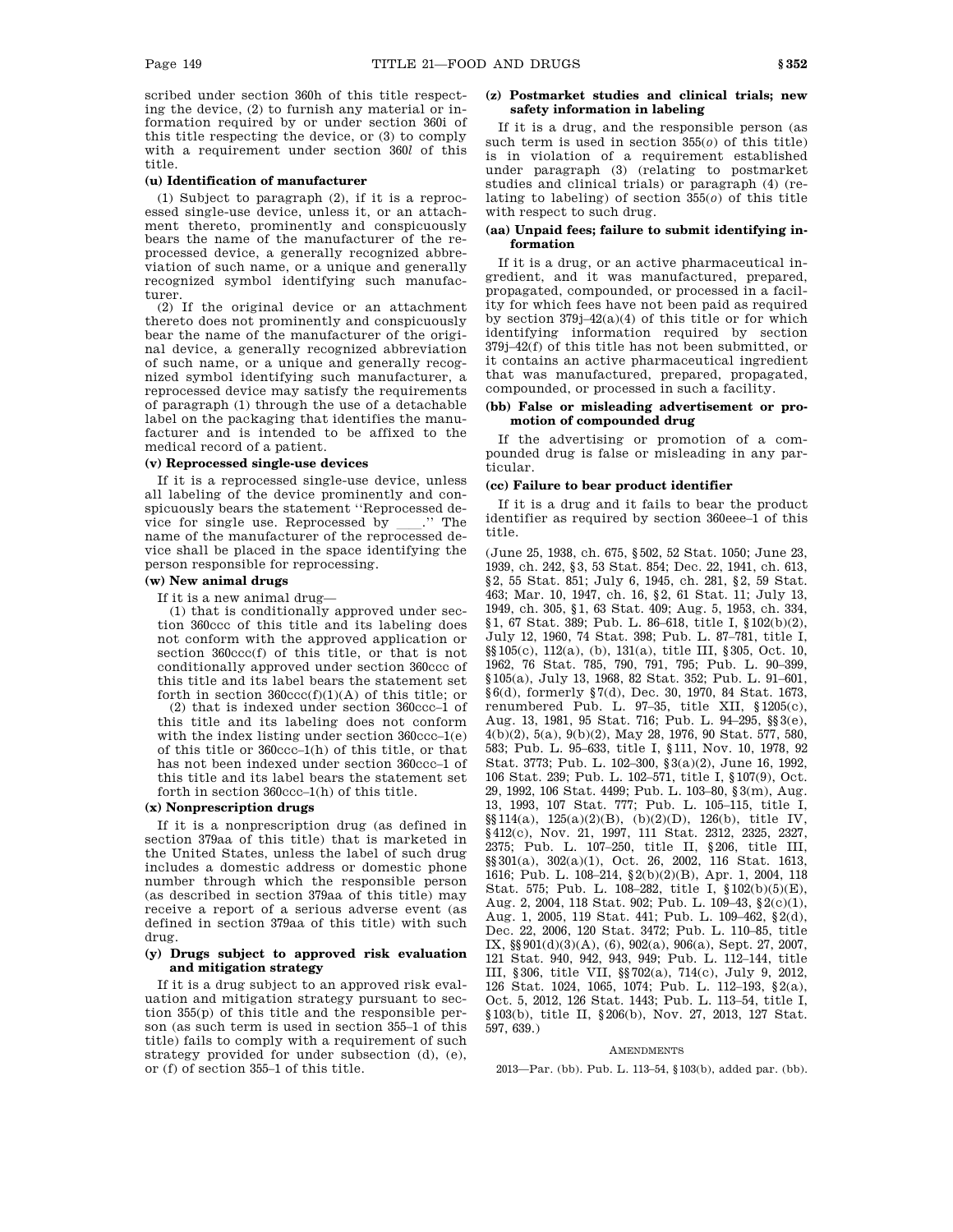scribed under section 360h of this title respecting the device, (2) to furnish any material or information required by or under section 360i of this title respecting the device, or (3) to comply with a requirement under section 360*l* of this title.

# **(u) Identification of manufacturer**

(1) Subject to paragraph (2), if it is a reprocessed single-use device, unless it, or an attachment thereto, prominently and conspicuously bears the name of the manufacturer of the reprocessed device, a generally recognized abbreviation of such name, or a unique and generally recognized symbol identifying such manufacturer.

(2) If the original device or an attachment thereto does not prominently and conspicuously bear the name of the manufacturer of the original device, a generally recognized abbreviation of such name, or a unique and generally recognized symbol identifying such manufacturer, a reprocessed device may satisfy the requirements of paragraph (1) through the use of a detachable label on the packaging that identifies the manufacturer and is intended to be affixed to the medical record of a patient.

## **(v) Reprocessed single-use devices**

If it is a reprocessed single-use device, unless all labeling of the device prominently and conspicuously bears the statement ''Reprocessed device for single use. Reprocessed by \_\_\_.'' The name of the manufacturer of the reprocessed device shall be placed in the space identifying the person responsible for reprocessing.

### **(w) New animal drugs**

If it is a new animal drug—

(1) that is conditionally approved under section 360ccc of this title and its labeling does not conform with the approved application or section 360ccc(f) of this title, or that is not conditionally approved under section 360ccc of this title and its label bears the statement set forth in section  $360\text{ccc}(f)(1)(A)$  of this title; or

(2) that is indexed under section 360ccc–1 of this title and its labeling does not conform with the index listing under section 360ccc–1(e) of this title or 360ccc–1(h) of this title, or that has not been indexed under section 360ccc–1 of this title and its label bears the statement set forth in section 360ccc–1(h) of this title.

# **(x) Nonprescription drugs**

If it is a nonprescription drug (as defined in section 379aa of this title) that is marketed in the United States, unless the label of such drug includes a domestic address or domestic phone number through which the responsible person (as described in section 379aa of this title) may receive a report of a serious adverse event (as defined in section 379aa of this title) with such drug.

# **(y) Drugs subject to approved risk evaluation and mitigation strategy**

If it is a drug subject to an approved risk evaluation and mitigation strategy pursuant to section 355(p) of this title and the responsible person (as such term is used in section 355–1 of this title) fails to comply with a requirement of such strategy provided for under subsection (d), (e), or (f) of section 355–1 of this title.

# **(z) Postmarket studies and clinical trials; new safety information in labeling**

If it is a drug, and the responsible person (as such term is used in section 355(*o*) of this title) is in violation of a requirement established under paragraph (3) (relating to postmarket studies and clinical trials) or paragraph (4) (relating to labeling) of section 355(*o*) of this title with respect to such drug.

# **(aa) Unpaid fees; failure to submit identifying information**

If it is a drug, or an active pharmaceutical ingredient, and it was manufactured, prepared, propagated, compounded, or processed in a facility for which fees have not been paid as required by section  $379j-42(a)(4)$  of this title or for which identifying information required by section 379j–42(f) of this title has not been submitted, or it contains an active pharmaceutical ingredient that was manufactured, prepared, propagated, compounded, or processed in such a facility.

# **(bb) False or misleading advertisement or promotion of compounded drug**

If the advertising or promotion of a compounded drug is false or misleading in any particular.

# **(cc) Failure to bear product identifier**

If it is a drug and it fails to bear the product identifier as required by section 360eee–1 of this title.

(June 25, 1938, ch. 675, §502, 52 Stat. 1050; June 23, 1939, ch. 242, §3, 53 Stat. 854; Dec. 22, 1941, ch. 613, §2, 55 Stat. 851; July 6, 1945, ch. 281, §2, 59 Stat. 463; Mar. 10, 1947, ch. 16, §2, 61 Stat. 11; July 13, 1949, ch. 305, §1, 63 Stat. 409; Aug. 5, 1953, ch. 334, §1, 67 Stat. 389; Pub. L. 86–618, title I, §102(b)(2), July 12, 1960, 74 Stat. 398; Pub. L. 87–781, title I, §§105(c), 112(a), (b), 131(a), title III, §305, Oct. 10, 1962, 76 Stat. 785, 790, 791, 795; Pub. L. 90–399, §105(a), July 13, 1968, 82 Stat. 352; Pub. L. 91–601, §6(d), formerly §7(d), Dec. 30, 1970, 84 Stat. 1673, renumbered Pub. L. 97–35, title XII, §1205(c), Aug. 13, 1981, 95 Stat. 716; Pub. L. 94–295, §§3(e), 4(b)(2), 5(a), 9(b)(2), May 28, 1976, 90 Stat. 577, 580, 583; Pub. L. 95–633, title I, §111, Nov. 10, 1978, 92 Stat. 3773; Pub. L. 102–300, §3(a)(2), June 16, 1992, 106 Stat. 239; Pub. L. 102–571, title I, §107(9), Oct. 29, 1992, 106 Stat. 4499; Pub. L. 103–80, §3(m), Aug. 13, 1993, 107 Stat. 777; Pub. L. 105–115, title I, §§114(a), 125(a)(2)(B), (b)(2)(D), 126(b), title IV, §412(c), Nov. 21, 1997, 111 Stat. 2312, 2325, 2327, 2375; Pub. L. 107–250, title II, §206, title III, §§301(a), 302(a)(1), Oct. 26, 2002, 116 Stat. 1613, 1616; Pub. L. 108–214, §2(b)(2)(B), Apr. 1, 2004, 118 Stat. 575; Pub. L. 108–282, title I, §102(b)(5)(E), Aug. 2, 2004, 118 Stat. 902; Pub. L. 109–43, §2(c)(1), Aug. 1, 2005, 119 Stat. 441; Pub. L. 109–462, §2(d), Dec. 22, 2006, 120 Stat. 3472; Pub. L. 110–85, title IX,  $\S\ 901({\rm d})(3)({\rm A}),$   $(6),$   $902({\rm a}),$   $906({\rm a}),$  Sept. 27, 2007, 121 Stat. 940, 942, 943, 949; Pub. L. 112–144, title III, §306, title VII, §§702(a), 714(c), July 9, 2012, 126 Stat. 1024, 1065, 1074; Pub. L. 112–193, §2(a), Oct. 5, 2012, 126 Stat. 1443; Pub. L. 113–54, title I, §103(b), title II, §206(b), Nov. 27, 2013, 127 Stat. 597, 639.)

### **AMENDMENTS**

2013—Par. (bb). Pub. L. 113–54, §103(b), added par. (bb).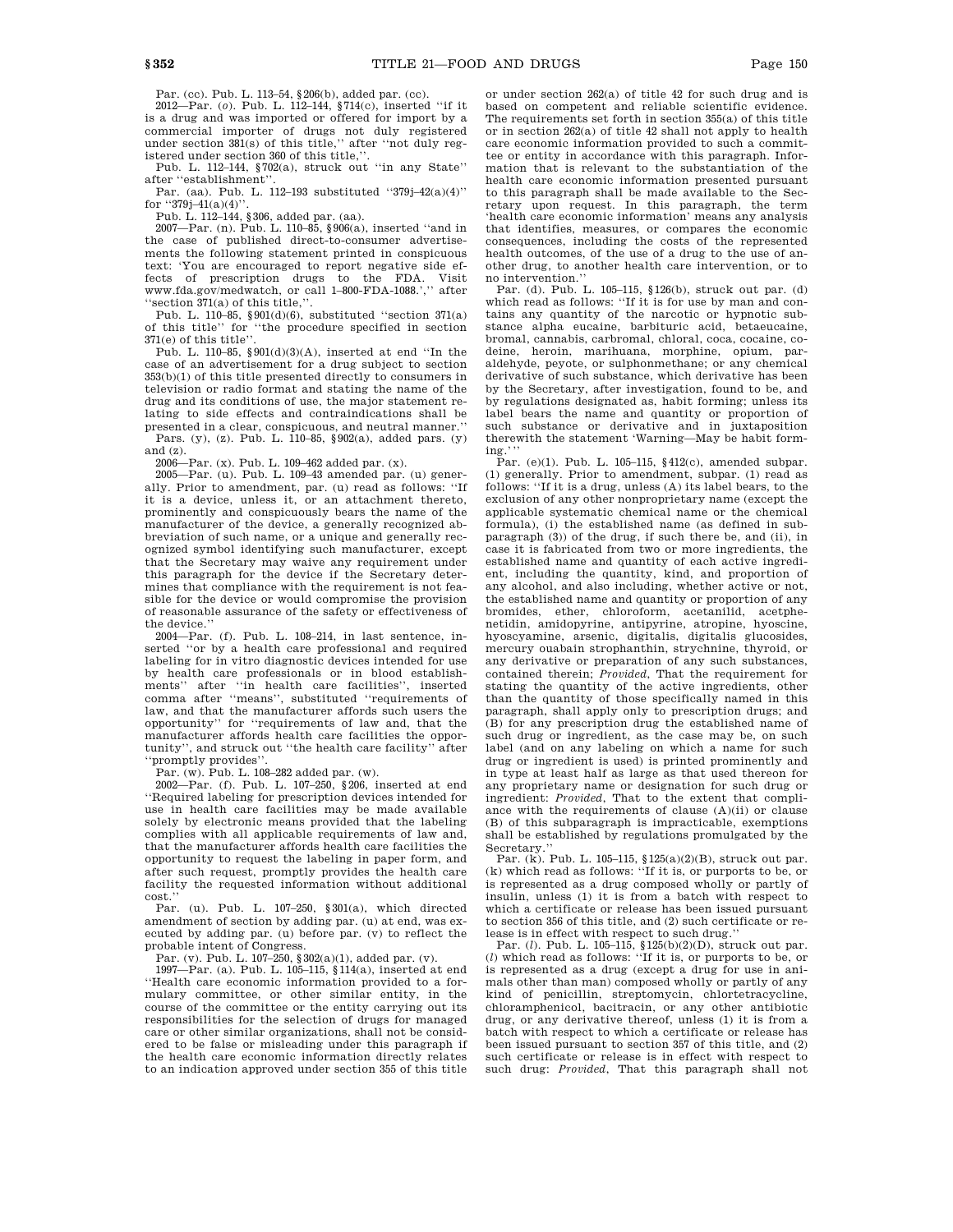Par. (cc). Pub. L. 113–54, §206(b), added par. (cc).

2012—Par. (*o*). Pub. L. 112–144, §714(c), inserted ''if it is a drug and was imported or offered for import by a commercial importer of drugs not duly registered under section 381(s) of this title,'' after ''not duly registered under section 360 of this title,"

Pub. L. 112–144, §702(a), struck out ''in any State'' after ''establishment''.

Par. (aa). Pub. L. 112–193 substituted ''379j–42(a)(4)'' for  $"379j-41(a)(4)"$ 

Pub. L. 112–144, §306, added par. (aa).

2007—Par. (n). Pub. L. 110–85, §906(a), inserted ''and in the case of published direct-to-consumer advertisements the following statement printed in conspicuous text: 'You are encouraged to report negative side effects of prescription drugs to the FDA. Visit www.fda.gov/medwatch, or call 1–800-FDA-1088.','' after ''section 371(a) of this title,''.

Pub. L. 110–85, §901(d)(6), substituted ''section 371(a) of this title'' for ''the procedure specified in section 371(e) of this title''.

Pub. L. 110–85, §901(d)(3)(A), inserted at end ''In the case of an advertisement for a drug subject to section 353(b)(1) of this title presented directly to consumers in television or radio format and stating the name of the drug and its conditions of use, the major statement relating to side effects and contraindications shall be presented in a clear, conspicuous, and neutral manner.'' Pars. (y), (z). Pub. L. 110–85, §902(a), added pars. (y) and (z).

2006—Par. (x). Pub. L. 109–462 added par. (x). 2005—Par. (u). Pub. L. 109–43 amended par. (u) generally. Prior to amendment, par. (u) read as follows: ''If it is a device, unless it, or an attachment thereto, prominently and conspicuously bears the name of the manufacturer of the device, a generally recognized abbreviation of such name, or a unique and generally recognized symbol identifying such manufacturer, except that the Secretary may waive any requirement under this paragraph for the device if the Secretary determines that compliance with the requirement is not feasible for the device or would compromise the provision of reasonable assurance of the safety or effectiveness of the device.''

2004—Par. (f). Pub. L. 108–214, in last sentence, inserted ''or by a health care professional and required labeling for in vitro diagnostic devices intended for use by health care professionals or in blood establishments'' after ''in health care facilities'', inserted comma after ''means'', substituted ''requirements of law, and that the manufacturer affords such users the opportunity'' for ''requirements of law and, that the manufacturer affords health care facilities the opportunity'', and struck out ''the health care facility'' after ''promptly provides''.

Par. (w). Pub. L. 108–282 added par. (w).

2002—Par. (f). Pub. L. 107–250, §206, inserted at end ''Required labeling for prescription devices intended for use in health care facilities may be made available solely by electronic means provided that the labeling complies with all applicable requirements of law and, that the manufacturer affords health care facilities the opportunity to request the labeling in paper form, and after such request, promptly provides the health care facility the requested information without additional cost.''

Par. (u). Pub. L. 107–250, §301(a), which directed amendment of section by adding par. (u) at end, was executed by adding par. (u) before par. (v) to reflect the probable intent of Congress.

Par. (v). Pub. L. 107–250, §302(a)(1), added par. (v).

1997—Par. (a). Pub. L. 105–115, §114(a), inserted at end ''Health care economic information provided to a formulary committee, or other similar entity, in the course of the committee or the entity carrying out its responsibilities for the selection of drugs for managed care or other similar organizations, shall not be considered to be false or misleading under this paragraph if the health care economic information directly relates to an indication approved under section 355 of this title

or under section 262(a) of title 42 for such drug and is based on competent and reliable scientific evidence. The requirements set forth in section 355(a) of this title or in section 262(a) of title 42 shall not apply to health care economic information provided to such a committee or entity in accordance with this paragraph. Information that is relevant to the substantiation of the health care economic information presented pursuant to this paragraph shall be made available to the Secretary upon request. In this paragraph, the term 'health care economic information' means any analysis that identifies, measures, or compares the economic consequences, including the costs of the represented health outcomes, of the use of a drug to the use of another drug, to another health care intervention, or to

no intervention.'' Par. (d). Pub. L. 105–115, §126(b), struck out par. (d) which read as follows: ''If it is for use by man and contains any quantity of the narcotic or hypnotic substance alpha eucaine, barbituric acid, betaeucaine, bromal, cannabis, carbromal, chloral, coca, cocaine, codeine, heroin, marihuana, morphine, opium, paraldehyde, peyote, or sulphonmethane; or any chemical derivative of such substance, which derivative has been by the Secretary, after investigation, found to be, and by regulations designated as, habit forming; unless its label bears the name and quantity or proportion of such substance or derivative and in juxtaposition therewith the statement 'Warning—May be habit form-

ing.''' Par. (e)(1). Pub. L. 105–115, §412(c), amended subpar. (1) generally. Prior to amendment, subpar. (1) read as follows: ''If it is a drug, unless (A) its label bears, to the exclusion of any other nonproprietary name (except the applicable systematic chemical name or the chemical formula), (i) the established name (as defined in subparagraph (3)) of the drug, if such there be, and (ii), in case it is fabricated from two or more ingredients, the established name and quantity of each active ingredient, including the quantity, kind, and proportion of any alcohol, and also including, whether active or not, the established name and quantity or proportion of any bromides, ether, chloroform, acetanilid, acetphenetidin, amidopyrine, antipyrine, atropine, hyoscine, hyoscyamine, arsenic, digitalis, digitalis glucosides, mercury ouabain strophanthin, strychnine, thyroid, or any derivative or preparation of any such substances, contained therein; *Provided*, That the requirement for stating the quantity of the active ingredients, other than the quantity of those specifically named in this paragraph, shall apply only to prescription drugs; and (B) for any prescription drug the established name of such drug or ingredient, as the case may be, on such label (and on any labeling on which a name for such drug or ingredient is used) is printed prominently and in type at least half as large as that used thereon for any proprietary name or designation for such drug or ingredient: *Provided*, That to the extent that compliance with the requirements of clause (A)(ii) or clause (B) of this subparagraph is impracticable, exemptions shall be established by regulations promulgated by the Secretary.

Par. (k). Pub. L. 105–115, §125(a)(2)(B), struck out par. (k) which read as follows: ''If it is, or purports to be, or is represented as a drug composed wholly or partly of insulin, unless (1) it is from a batch with respect to which a certificate or release has been issued pursuant to section 356 of this title, and (2) such certificate or re-

lease is in effect with respect to such drug.'' Par. (*l*). Pub. L. 105–115, §125(b)(2)(D), struck out par. (*l*) which read as follows: ''If it is, or purports to be, or is represented as a drug (except a drug for use in animals other than man) composed wholly or partly of any kind of penicillin, streptomycin, chlortetracycline, chloramphenicol, bacitracin, or any other antibiotic drug, or any derivative thereof, unless (1) it is from a batch with respect to which a certificate or release has been issued pursuant to section 357 of this title, and (2) such certificate or release is in effect with respect to such drug: *Provided*, That this paragraph shall not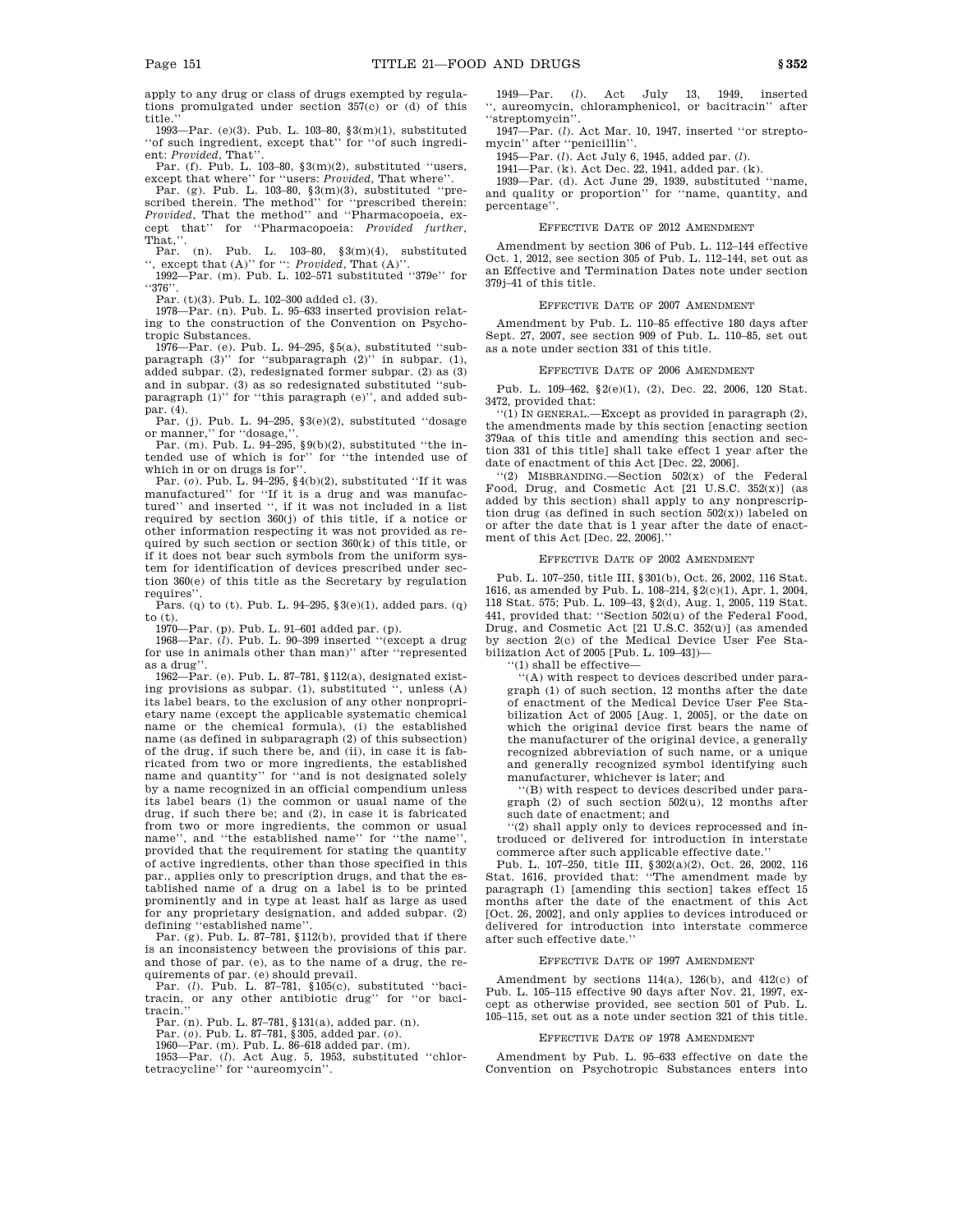apply to any drug or class of drugs exempted by regulations promulgated under section 357(c) or (d) of this title.''

1993—Par. (e)(3). Pub. L. 103–80, §3(m)(1), substituted ''of such ingredient, except that'' for ''of such ingredient: Provided, That'

Par. (f). Pub. L. 103–80, §3(m)(2), substituted ''users, except that where'' for ''users: *Provided*, That where''.

Par. (g). Pub. L. 103–80, §3(m)(3), substituted ''prescribed therein. The method'' for ''prescribed therein: *Provided*, That the method'' and ''Pharmacopoeia, except that'' for ''Pharmacopoeia: *Provided further*, That,'

Par. (n). Pub. L. 103–80, §3(m)(4), substituted '', except that (A)'' for '': *Provided*, That (A)''. 1992—Par. (m). Pub. L. 102–571 substituted ''379e'' for

''376''.

Par. (t)(3). Pub. L. 102–300 added cl. (3).

1978—Par. (n). Pub. L. 95–633 inserted provision relating to the construction of the Convention on Psychotropic Substances.

1976—Par. (e). Pub. L. 94–295, §5(a), substituted ''subparagraph (3)'' for ''subparagraph (2)'' in subpar. (1), added subpar. (2), redesignated former subpar. (2) as (3) and in subpar. (3) as so redesignated substituted ''subparagraph (1)'' for ''this paragraph (e)'', and added subpar. (4).

Par. (j). Pub. L. 94–295, §3(e)(2), substituted ''dosage or manner,'' for ''dosage,''.

Par. (m). Pub. L. 94–295, §9(b)(2), substituted ''the intended use of which is for'' for ''the intended use of which in or on drugs is for'.

Par. (*o*). Pub. L. 94–295, §4(b)(2), substituted ''If it was manufactured'' for ''If it is a drug and was manufactured'' and inserted '', if it was not included in a list required by section 360(j) of this title, if a notice or other information respecting it was not provided as required by such section or section  $360(k)$  of this title, or if it does not bear such symbols from the uniform system for identification of devices prescribed under section 360(e) of this title as the Secretary by regulation requires''.

Pars. (q) to (t). Pub. L. 94–295, §3(e)(1), added pars. (q) to (t).

1970—Par. (p). Pub. L. 91–601 added par. (p).

1968—Par. (*l*). Pub. L. 90–399 inserted ''(except a drug for use in animals other than man)'' after ''represented as a drug''.

1962—Par. (e). Pub. L. 87–781, §112(a), designated existing provisions as subpar. (1), substituted '', unless (A) its label bears, to the exclusion of any other nonproprietary name (except the applicable systematic chemical name or the chemical formula), (i) the established name (as defined in subparagraph (2) of this subsection) of the drug, if such there be, and (ii), in case it is fabricated from two or more ingredients, the established name and quantity'' for ''and is not designated solely by a name recognized in an official compendium unless its label bears (1) the common or usual name of the drug, if such there be; and (2), in case it is fabricated from two or more ingredients, the common or usual name'', and ''the established name'' for ''the name'', provided that the requirement for stating the quantity of active ingredients, other than those specified in this par., applies only to prescription drugs, and that the established name of a drug on a label is to be printed prominently and in type at least half as large as used for any proprietary designation, and added subpar. (2) defining ''established name''.

Par. (g). Pub. L. 87–781, §112(b), provided that if there is an inconsistency between the provisions of this par. and those of par. (e), as to the name of a drug, the requirements of par. (e) should prevail. Par. (*l*). Pub. L. 87–781, §105(c), substituted ''baci-

tracin, or any other antibiotic drug'' for ''or bacitracin.

Par. (n). Pub. L. 87–781, §131(a), added par. (n).

Par. (*o*). Pub. L. 87–781, §305, added par. (*o*). 1960—Par. (m). Pub. L. 86–618 added par. (m).

1953—Par. (*l*). Act Aug. 5, 1953, substituted ''chlortetracycline'' for ''aureomycin''.

1949—Par. (*l*). Act July 13, 1949, inserted '', aureomycin, chloramphenicol, or bacitracin'' after ''streptomycin''.

1947—Par. (*l*). Act Mar. 10, 1947, inserted ''or streptomycin'' after ''penicillin''.

1945—Par. (*l*). Act July 6, 1945, added par. (*l*).

1941—Par. (k). Act Dec. 22, 1941, added par. (k).

1939—Par. (d). Act June 29, 1939, substituted ''name, and quality or proportion'' for ''name, quantity, and percentage''.

## EFFECTIVE DATE OF 2012 AMENDMENT

Amendment by section 306 of Pub. L. 112–144 effective Oct. 1, 2012, see section 305 of Pub. L. 112–144, set out as an Effective and Termination Dates note under section 379j–41 of this title.

## EFFECTIVE DATE OF 2007 AMENDMENT

Amendment by Pub. L. 110–85 effective 180 days after Sept. 27, 2007, see section 909 of Pub. L. 110–85, set out as a note under section 331 of this title.

#### EFFECTIVE DATE OF 2006 AMENDMENT

Pub. L. 109–462, §2(e)(1), (2), Dec. 22, 2006, 120 Stat. 3472, provided that:

''(1) IN GENERAL.—Except as provided in paragraph (2), the amendments made by this section [enacting section 379aa of this title and amending this section and section 331 of this title] shall take effect 1 year after the date of enactment of this Act [Dec. 22, 2006].

''(2) MISBRANDING.—Section 502(x) of the Federal Food, Drug, and Cosmetic Act [21 U.S.C. 352(x)] (as added by this section) shall apply to any nonprescription drug (as defined in such section  $502(x)$ ) labeled on or after the date that is 1 year after the date of enactment of this Act [Dec. 22, 2006].''

### EFFECTIVE DATE OF 2002 AMENDMENT

Pub. L. 107–250, title III, §301(b), Oct. 26, 2002, 116 Stat. 1616, as amended by Pub. L. 108–214, §2(c)(1), Apr. 1, 2004, 118 Stat. 575; Pub. L. 109–43, §2(d), Aug. 1, 2005, 119 Stat. 441, provided that: ''Section 502(u) of the Federal Food, Drug, and Cosmetic Act [21 U.S.C. 352(u)] (as amended by section 2(c) of the Medical Device User Fee Stabilization Act of 2005 [Pub. L. 109–43])—

''(1) shall be effective—

''(A) with respect to devices described under paragraph (1) of such section, 12 months after the date of enactment of the Medical Device User Fee Stabilization Act of 2005 [Aug. 1, 2005], or the date on which the original device first bears the name of the manufacturer of the original device, a generally recognized abbreviation of such name, or a unique and generally recognized symbol identifying such manufacturer, whichever is later; and

'(B) with respect to devices described under paragraph (2) of such section 502(u), 12 months after such date of enactment; and

''(2) shall apply only to devices reprocessed and introduced or delivered for introduction in interstate commerce after such applicable effective date.''

Pub. L. 107–250, title III, §302(a)(2), Oct. 26, 2002, 116 Stat. 1616, provided that: ''The amendment made by paragraph (1) [amending this section] takes effect 15 months after the date of the enactment of this Act [Oct. 26, 2002], and only applies to devices introduced or delivered for introduction into interstate commerce after such effective date.''

#### EFFECTIVE DATE OF 1997 AMENDMENT

Amendment by sections 114(a), 126(b), and 412(c) of Pub. L. 105–115 effective 90 days after Nov. 21, 1997, except as otherwise provided, see section 501 of Pub. L. 105–115, set out as a note under section 321 of this title.

#### EFFECTIVE DATE OF 1978 AMENDMENT

Amendment by Pub. L. 95–633 effective on date the Convention on Psychotropic Substances enters into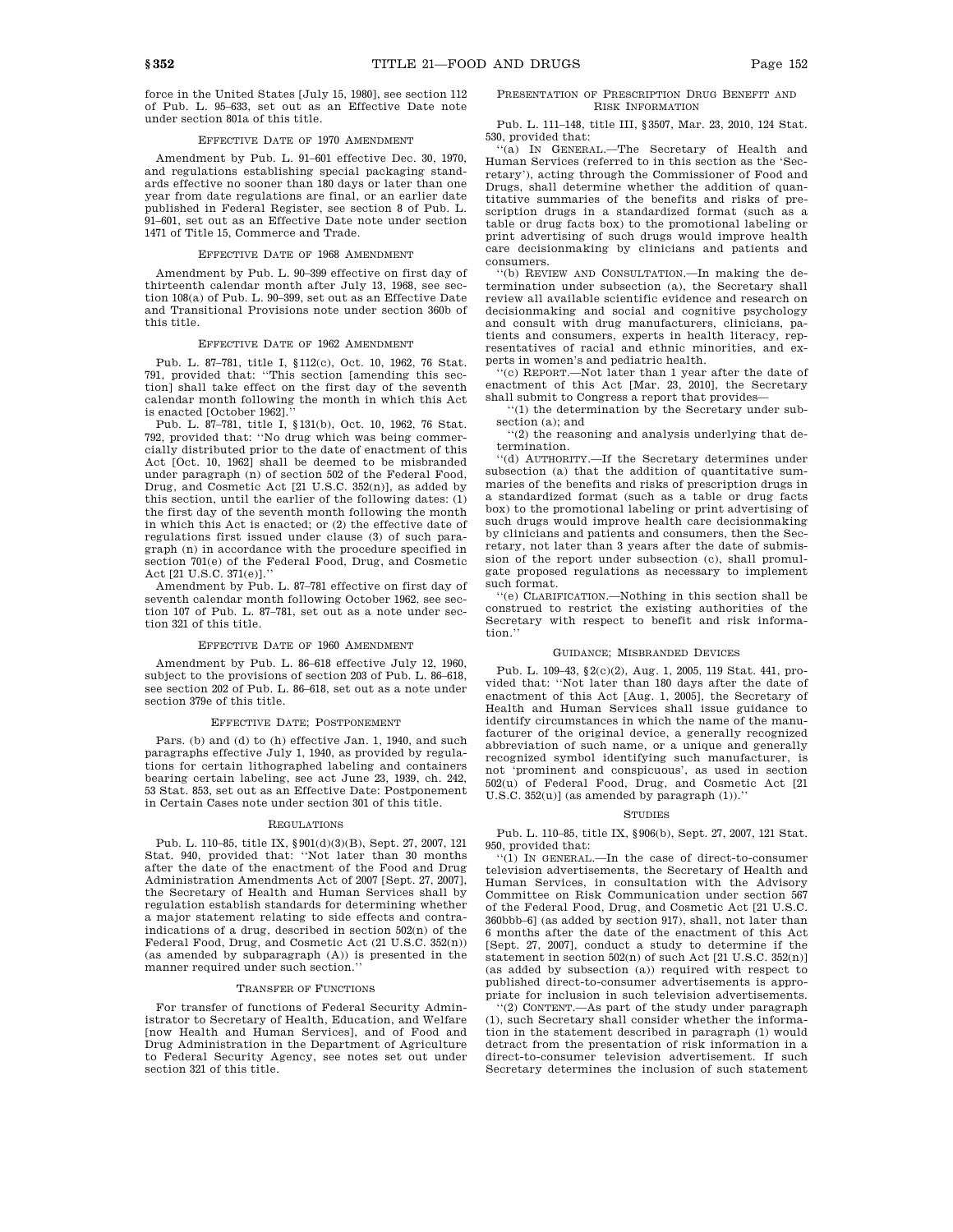force in the United States [July 15, 1980], see section 112 of Pub. L. 95–633, set out as an Effective Date note under section 801a of this title.

#### EFFECTIVE DATE OF 1970 AMENDMENT

Amendment by Pub. L. 91–601 effective Dec. 30, 1970, and regulations establishing special packaging standards effective no sooner than 180 days or later than one year from date regulations are final, or an earlier date published in Federal Register, see section 8 of Pub. L. 91–601, set out as an Effective Date note under section 1471 of Title 15, Commerce and Trade.

# EFFECTIVE DATE OF 1968 AMENDMENT

Amendment by Pub. L. 90–399 effective on first day of thirteenth calendar month after July 13, 1968, see section 108(a) of Pub. L. 90–399, set out as an Effective Date and Transitional Provisions note under section 360b of this title.

### EFFECTIVE DATE OF 1962 AMENDMENT

Pub. L. 87–781, title I, §112(c), Oct. 10, 1962, 76 Stat. 791, provided that: ''This section [amending this section] shall take effect on the first day of the seventh calendar month following the month in which this Act is enacted [October 1962].

Pub. L. 87–781, title I, §131(b), Oct. 10, 1962, 76 Stat. 792, provided that: ''No drug which was being commercially distributed prior to the date of enactment of this Act [Oct. 10, 1962] shall be deemed to be misbranded under paragraph (n) of section 502 of the Federal Food, Drug, and Cosmetic Act [21 U.S.C. 352(n)], as added by this section, until the earlier of the following dates: (1) the first day of the seventh month following the month in which this Act is enacted; or (2) the effective date of regulations first issued under clause (3) of such paragraph (n) in accordance with the procedure specified in section 701(e) of the Federal Food, Drug, and Cosmetic Act [21 U.S.C. 371(e)].''

Amendment by Pub. L. 87–781 effective on first day of seventh calendar month following October 1962, see section 107 of Pub. L. 87–781, set out as a note under section 321 of this title.

#### EFFECTIVE DATE OF 1960 AMENDMENT

Amendment by Pub. L. 86–618 effective July 12, 1960, subject to the provisions of section 203 of Pub. L. 86–618, see section 202 of Pub. L. 86–618, set out as a note under section 379e of this title.

#### EFFECTIVE DATE; POSTPONEMENT

Pars. (b) and (d) to (h) effective Jan. 1, 1940, and such paragraphs effective July 1, 1940, as provided by regulations for certain lithographed labeling and containers bearing certain labeling, see act June 23, 1939, ch. 242, 53 Stat. 853, set out as an Effective Date: Postponement in Certain Cases note under section 301 of this title.

#### REGULATIONS

Pub. L. 110–85, title IX, §901(d)(3)(B), Sept. 27, 2007, 121 Stat. 940, provided that: ''Not later than 30 months after the date of the enactment of the Food and Drug Administration Amendments Act of 2007 [Sept. 27, 2007], the Secretary of Health and Human Services shall by regulation establish standards for determining whether a major statement relating to side effects and contraindications of a drug, described in section 502(n) of the Federal Food, Drug, and Cosmetic Act (21 U.S.C. 352(n)) (as amended by subparagraph (A)) is presented in the manner required under such section.''

#### TRANSFER OF FUNCTIONS

For transfer of functions of Federal Security Administrator to Secretary of Health, Education, and Welfare [now Health and Human Services], and of Food and Drug Administration in the Department of Agriculture to Federal Security Agency, see notes set out under section 321 of this title.

Pub. L. 111–148, title III, §3507, Mar. 23, 2010, 124 Stat. 530, provided that:

''(a) IN GENERAL.—The Secretary of Health and Human Services (referred to in this section as the 'Secretary'), acting through the Commissioner of Food and Drugs, shall determine whether the addition of quantitative summaries of the benefits and risks of prescription drugs in a standardized format (such as a table or drug facts box) to the promotional labeling or print advertising of such drugs would improve health care decisionmaking by clinicians and patients and consumers.

''(b) REVIEW AND CONSULTATION.—In making the determination under subsection (a), the Secretary shall review all available scientific evidence and research on decisionmaking and social and cognitive psychology and consult with drug manufacturers, clinicians, patients and consumers, experts in health literacy, representatives of racial and ethnic minorities, and experts in women's and pediatric health.

''(c) REPORT.—Not later than 1 year after the date of enactment of this Act [Mar. 23, 2010], the Secretary shall submit to Congress a report that provides—

''(1) the determination by the Secretary under subsection (a); and

''(2) the reasoning and analysis underlying that determination.

''(d) AUTHORITY.—If the Secretary determines under subsection (a) that the addition of quantitative summaries of the benefits and risks of prescription drugs in a standardized format (such as a table or drug facts box) to the promotional labeling or print advertising of such drugs would improve health care decisionmaking by clinicians and patients and consumers, then the Secretary, not later than 3 years after the date of submission of the report under subsection (c), shall promulgate proposed regulations as necessary to implement such format.

''(e) CLARIFICATION.—Nothing in this section shall be construed to restrict the existing authorities of the Secretary with respect to benefit and risk information.''

#### GUIDANCE; MISBRANDED DEVICES

Pub. L. 109–43, §2(c)(2), Aug. 1, 2005, 119 Stat. 441, provided that: ''Not later than 180 days after the date of enactment of this Act [Aug. 1, 2005], the Secretary of Health and Human Services shall issue guidance to identify circumstances in which the name of the manufacturer of the original device, a generally recognized abbreviation of such name, or a unique and generally recognized symbol identifying such manufacturer, is not 'prominent and conspicuous', as used in section 502(u) of Federal Food, Drug, and Cosmetic Act [21 U.S.C.  $352(u)$ ] (as amended by paragraph  $(1)$ ).

#### STUDIES

Pub. L. 110–85, title IX, §906(b), Sept. 27, 2007, 121 Stat. 950, provided that:

''(1) IN GENERAL.—In the case of direct-to-consumer television advertisements, the Secretary of Health and Human Services, in consultation with the Advisory Committee on Risk Communication under section 567 of the Federal Food, Drug, and Cosmetic Act [21 U.S.C. 360bbb–6] (as added by section 917), shall, not later than 6 months after the date of the enactment of this Act [Sept. 27, 2007], conduct a study to determine if the statement in section 502(n) of such Act [21 U.S.C. 352(n)] (as added by subsection (a)) required with respect to published direct-to-consumer advertisements is appropriate for inclusion in such television advertisements.

''(2) CONTENT.—As part of the study under paragraph (1), such Secretary shall consider whether the information in the statement described in paragraph (1) would detract from the presentation of risk information in a direct-to-consumer television advertisement. If such Secretary determines the inclusion of such statement